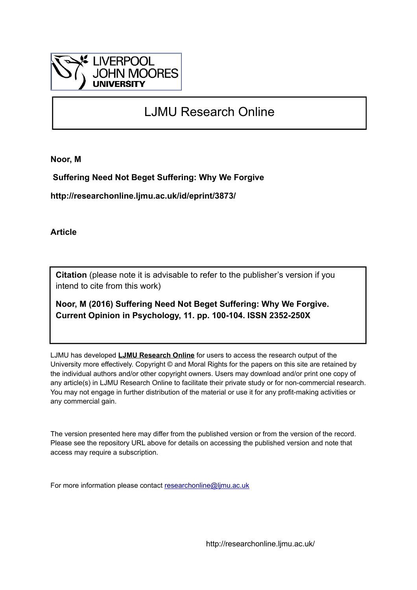

# LJMU Research Online

**Noor, M**

 **Suffering Need Not Beget Suffering: Why We Forgive**

**http://researchonline.ljmu.ac.uk/id/eprint/3873/**

**Article**

**Citation** (please note it is advisable to refer to the publisher's version if you intend to cite from this work)

**Noor, M (2016) Suffering Need Not Beget Suffering: Why We Forgive. Current Opinion in Psychology, 11. pp. 100-104. ISSN 2352-250X** 

LJMU has developed **[LJMU Research Online](http://researchonline.ljmu.ac.uk/)** for users to access the research output of the University more effectively. Copyright © and Moral Rights for the papers on this site are retained by the individual authors and/or other copyright owners. Users may download and/or print one copy of any article(s) in LJMU Research Online to facilitate their private study or for non-commercial research. You may not engage in further distribution of the material or use it for any profit-making activities or any commercial gain.

The version presented here may differ from the published version or from the version of the record. Please see the repository URL above for details on accessing the published version and note that access may require a subscription.

For more information please contact [researchonline@ljmu.ac.uk](mailto:researchonline@ljmu.ac.uk)

http://researchonline.ljmu.ac.uk/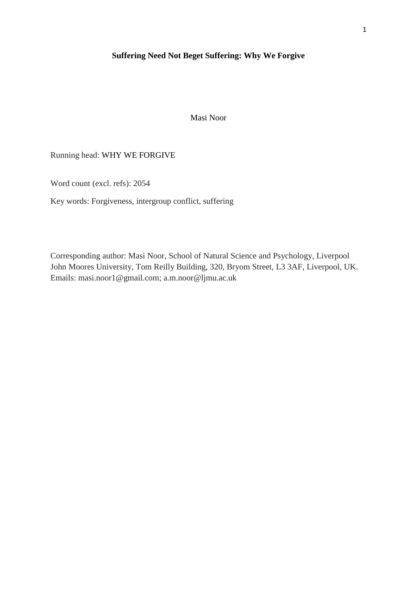## **Suffering Need Not Beget Suffering: Why We Forgive**

Masi Noor

# Running head: WHY WE FORGIVE

Word count (excl. refs): 2054

Key words: Forgiveness, intergroup conflict, suffering

Corresponding author: Masi Noor, School of Natural Science and Psychology, Liverpool John Moores University, Tom Reilly Building, 320, Bryom Street, L3 3AF, Liverpool, UK. Emails: masi.noor1@gmail.com; a.m.noor@ljmu.ac.uk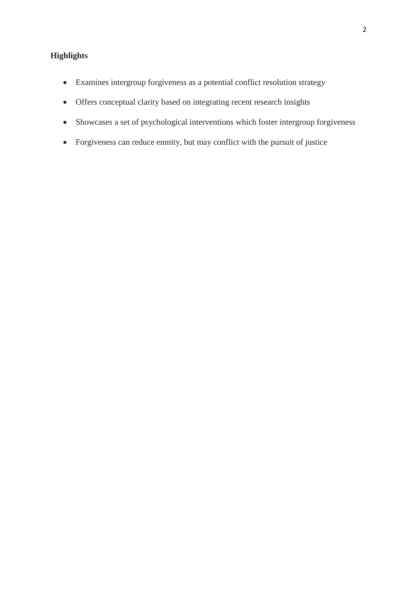# **Highlights**

- Examines intergroup forgiveness as a potential conflict resolution strategy
- Offers conceptual clarity based on integrating recent research insights
- Showcases a set of psychological interventions which foster intergroup forgiveness
- Forgiveness can reduce enmity, but may conflict with the pursuit of justice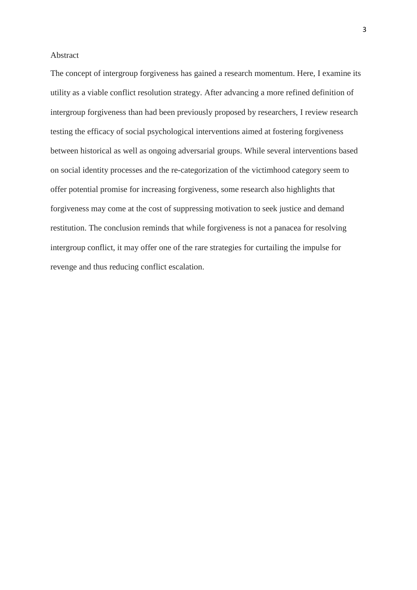### Abstract

The concept of intergroup forgiveness has gained a research momentum. Here, I examine its utility as a viable conflict resolution strategy. After advancing a more refined definition of intergroup forgiveness than had been previously proposed by researchers, I review research testing the efficacy of social psychological interventions aimed at fostering forgiveness between historical as well as ongoing adversarial groups. While several interventions based on social identity processes and the re-categorization of the victimhood category seem to offer potential promise for increasing forgiveness, some research also highlights that forgiveness may come at the cost of suppressing motivation to seek justice and demand restitution. The conclusion reminds that while forgiveness is not a panacea for resolving intergroup conflict, it may offer one of the rare strategies for curtailing the impulse for revenge and thus reducing conflict escalation.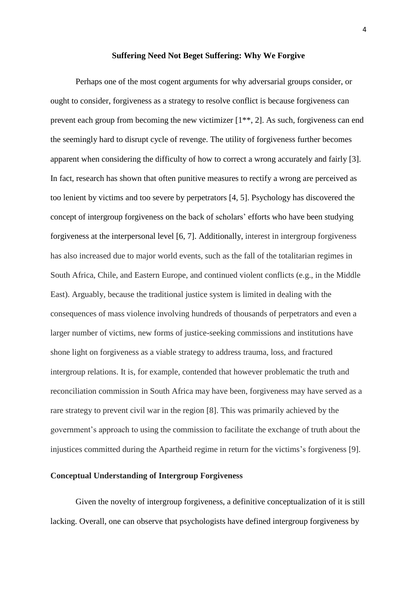#### **Suffering Need Not Beget Suffering: Why We Forgive**

Perhaps one of the most cogent arguments for why adversarial groups consider, or ought to consider, forgiveness as a strategy to resolve conflict is because forgiveness can prevent each group from becoming the new victimizer [1\*\*, 2]. As such, forgiveness can end the seemingly hard to disrupt cycle of revenge. The utility of forgiveness further becomes apparent when considering the difficulty of how to correct a wrong accurately and fairly [3]. In fact, research has shown that often punitive measures to rectify a wrong are perceived as too lenient by victims and too severe by perpetrators [4, 5]. Psychology has discovered the concept of intergroup forgiveness on the back of scholars' efforts who have been studying forgiveness at the interpersonal level [6, 7]. Additionally, interest in intergroup forgiveness has also increased due to major world events, such as the fall of the totalitarian regimes in South Africa, Chile, and Eastern Europe, and continued violent conflicts (e.g., in the Middle East). Arguably, because the traditional justice system is limited in dealing with the consequences of mass violence involving hundreds of thousands of perpetrators and even a larger number of victims, new forms of justice-seeking commissions and institutions have shone light on forgiveness as a viable strategy to address trauma, loss, and fractured intergroup relations. It is, for example, contended that however problematic the truth and reconciliation commission in South Africa may have been, forgiveness may have served as a rare strategy to prevent civil war in the region [8]. This was primarily achieved by the government's approach to using the commission to facilitate the exchange of truth about the injustices committed during the Apartheid regime in return for the victims's forgiveness [9].

## **Conceptual Understanding of Intergroup Forgiveness**

Given the novelty of intergroup forgiveness, a definitive conceptualization of it is still lacking. Overall, one can observe that psychologists have defined intergroup forgiveness by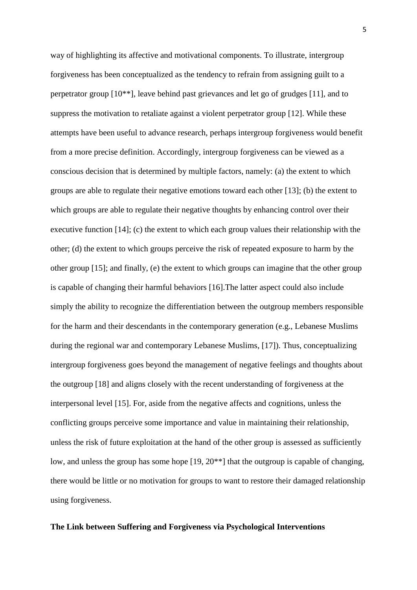way of highlighting its affective and motivational components. To illustrate, intergroup forgiveness has been conceptualized as the tendency to refrain from assigning guilt to a perpetrator group [10\*\*], leave behind past grievances and let go of grudges [11], and to suppress the motivation to retaliate against a violent perpetrator group [12]. While these attempts have been useful to advance research, perhaps intergroup forgiveness would benefit from a more precise definition. Accordingly, intergroup forgiveness can be viewed as a conscious decision that is determined by multiple factors, namely: (a) the extent to which groups are able to regulate their negative emotions toward each other [13]; (b) the extent to which groups are able to regulate their negative thoughts by enhancing control over their executive function [14]; (c) the extent to which each group values their relationship with the other; (d) the extent to which groups perceive the risk of repeated exposure to harm by the other group [15]; and finally, (e) the extent to which groups can imagine that the other group is capable of changing their harmful behaviors [16].The latter aspect could also include simply the ability to recognize the differentiation between the outgroup members responsible for the harm and their descendants in the contemporary generation (e.g., Lebanese Muslims during the regional war and contemporary Lebanese Muslims, [17]). Thus, conceptualizing intergroup forgiveness goes beyond the management of negative feelings and thoughts about the outgroup [18] and aligns closely with the recent understanding of forgiveness at the interpersonal level [15]. For, aside from the negative affects and cognitions, unless the conflicting groups perceive some importance and value in maintaining their relationship, unless the risk of future exploitation at the hand of the other group is assessed as sufficiently low, and unless the group has some hope [19, 20\*\*] that the outgroup is capable of changing, there would be little or no motivation for groups to want to restore their damaged relationship using forgiveness.

#### **The Link between Suffering and Forgiveness via Psychological Interventions**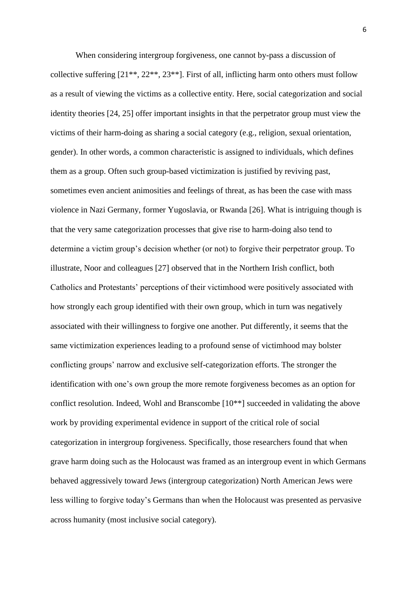When considering intergroup forgiveness, one cannot by-pass a discussion of collective suffering  $[21^{**}, 22^{**}, 23^{**}]$ . First of all, inflicting harm onto others must follow as a result of viewing the victims as a collective entity. Here, social categorization and social identity theories [24, 25] offer important insights in that the perpetrator group must view the victims of their harm-doing as sharing a social category (e.g., religion, sexual orientation, gender). In other words, a common characteristic is assigned to individuals, which defines them as a group. Often such group-based victimization is justified by reviving past, sometimes even ancient animosities and feelings of threat, as has been the case with mass violence in Nazi Germany, former Yugoslavia, or Rwanda [26]. What is intriguing though is that the very same categorization processes that give rise to harm-doing also tend to determine a victim group's decision whether (or not) to forgive their perpetrator group. To illustrate, Noor and colleagues [27] observed that in the Northern Irish conflict, both Catholics and Protestants' perceptions of their victimhood were positively associated with how strongly each group identified with their own group, which in turn was negatively associated with their willingness to forgive one another. Put differently, it seems that the same victimization experiences leading to a profound sense of victimhood may bolster conflicting groups' narrow and exclusive self-categorization efforts. The stronger the identification with one's own group the more remote forgiveness becomes as an option for conflict resolution. Indeed, Wohl and Branscombe [10\*\*] succeeded in validating the above work by providing experimental evidence in support of the critical role of social categorization in intergroup forgiveness. Specifically, those researchers found that when grave harm doing such as the Holocaust was framed as an intergroup event in which Germans behaved aggressively toward Jews (intergroup categorization) North American Jews were less willing to forgive today's Germans than when the Holocaust was presented as pervasive across humanity (most inclusive social category).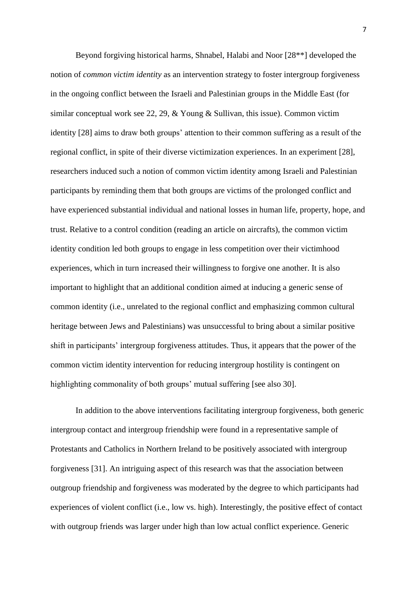Beyond forgiving historical harms, Shnabel, Halabi and Noor [28\*\*] developed the notion of *common victim identity* as an intervention strategy to foster intergroup forgiveness in the ongoing conflict between the Israeli and Palestinian groups in the Middle East (for similar conceptual work see 22, 29, & Young & Sullivan, this issue). Common victim identity [28] aims to draw both groups' attention to their common suffering as a result of the regional conflict, in spite of their diverse victimization experiences. In an experiment [28], researchers induced such a notion of common victim identity among Israeli and Palestinian participants by reminding them that both groups are victims of the prolonged conflict and have experienced substantial individual and national losses in human life, property, hope, and trust. Relative to a control condition (reading an article on aircrafts), the common victim identity condition led both groups to engage in less competition over their victimhood experiences, which in turn increased their willingness to forgive one another. It is also important to highlight that an additional condition aimed at inducing a generic sense of common identity (i.e., unrelated to the regional conflict and emphasizing common cultural heritage between Jews and Palestinians) was unsuccessful to bring about a similar positive shift in participants' intergroup forgiveness attitudes. Thus, it appears that the power of the common victim identity intervention for reducing intergroup hostility is contingent on highlighting commonality of both groups' mutual suffering [see also 30].

In addition to the above interventions facilitating intergroup forgiveness, both generic intergroup contact and intergroup friendship were found in a representative sample of Protestants and Catholics in Northern Ireland to be positively associated with intergroup forgiveness [31]. An intriguing aspect of this research was that the association between outgroup friendship and forgiveness was moderated by the degree to which participants had experiences of violent conflict (i.e., low vs. high). Interestingly, the positive effect of contact with outgroup friends was larger under high than low actual conflict experience. Generic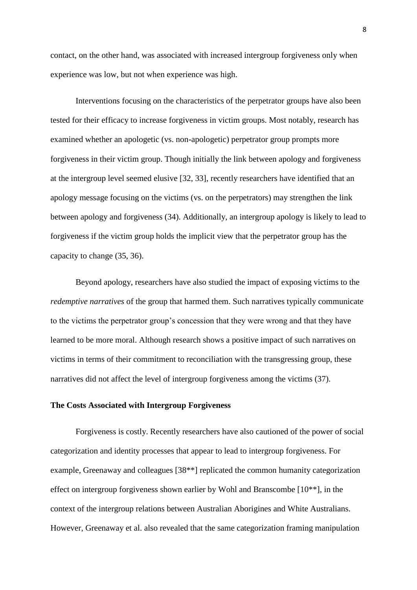contact, on the other hand, was associated with increased intergroup forgiveness only when experience was low, but not when experience was high.

Interventions focusing on the characteristics of the perpetrator groups have also been tested for their efficacy to increase forgiveness in victim groups. Most notably, research has examined whether an apologetic (vs. non-apologetic) perpetrator group prompts more forgiveness in their victim group. Though initially the link between apology and forgiveness at the intergroup level seemed elusive [32, 33], recently researchers have identified that an apology message focusing on the victims (vs. on the perpetrators) may strengthen the link between apology and forgiveness (34). Additionally, an intergroup apology is likely to lead to forgiveness if the victim group holds the implicit view that the perpetrator group has the capacity to change (35, 36).

Beyond apology, researchers have also studied the impact of exposing victims to the *redemptive narratives* of the group that harmed them. Such narratives typically communicate to the victims the perpetrator group's concession that they were wrong and that they have learned to be more moral. Although research shows a positive impact of such narratives on victims in terms of their commitment to reconciliation with the transgressing group, these narratives did not affect the level of intergroup forgiveness among the victims (37).

#### **The Costs Associated with Intergroup Forgiveness**

Forgiveness is costly. Recently researchers have also cautioned of the power of social categorization and identity processes that appear to lead to intergroup forgiveness. For example, Greenaway and colleagues [38\*\*] replicated the common humanity categorization effect on intergroup forgiveness shown earlier by Wohl and Branscombe [10\*\*], in the context of the intergroup relations between Australian Aborigines and White Australians. However, Greenaway et al. also revealed that the same categorization framing manipulation

8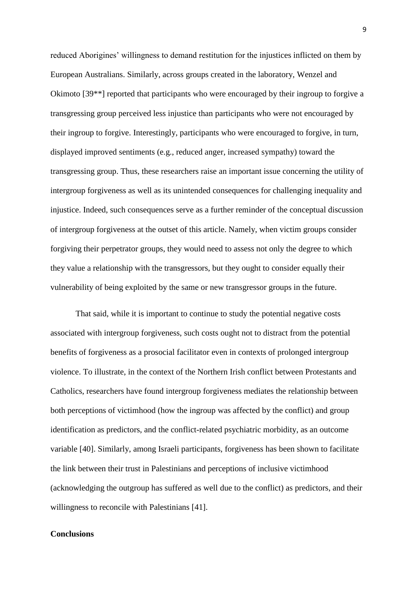reduced Aborigines' willingness to demand restitution for the injustices inflicted on them by European Australians. Similarly, across groups created in the laboratory, Wenzel and Okimoto [39\*\*] reported that participants who were encouraged by their ingroup to forgive a transgressing group perceived less injustice than participants who were not encouraged by their ingroup to forgive. Interestingly, participants who were encouraged to forgive, in turn, displayed improved sentiments (e.g., reduced anger, increased sympathy) toward the transgressing group. Thus, these researchers raise an important issue concerning the utility of intergroup forgiveness as well as its unintended consequences for challenging inequality and injustice. Indeed, such consequences serve as a further reminder of the conceptual discussion of intergroup forgiveness at the outset of this article. Namely, when victim groups consider forgiving their perpetrator groups, they would need to assess not only the degree to which they value a relationship with the transgressors, but they ought to consider equally their vulnerability of being exploited by the same or new transgressor groups in the future.

That said, while it is important to continue to study the potential negative costs associated with intergroup forgiveness, such costs ought not to distract from the potential benefits of forgiveness as a prosocial facilitator even in contexts of prolonged intergroup violence. To illustrate, in the context of the Northern Irish conflict between Protestants and Catholics, researchers have found intergroup forgiveness mediates the relationship between both perceptions of victimhood (how the ingroup was affected by the conflict) and group identification as predictors, and the conflict-related psychiatric morbidity, as an outcome variable [40]. Similarly, among Israeli participants, forgiveness has been shown to facilitate the link between their trust in Palestinians and perceptions of inclusive victimhood (acknowledging the outgroup has suffered as well due to the conflict) as predictors, and their willingness to reconcile with Palestinians [41].

## **Conclusions**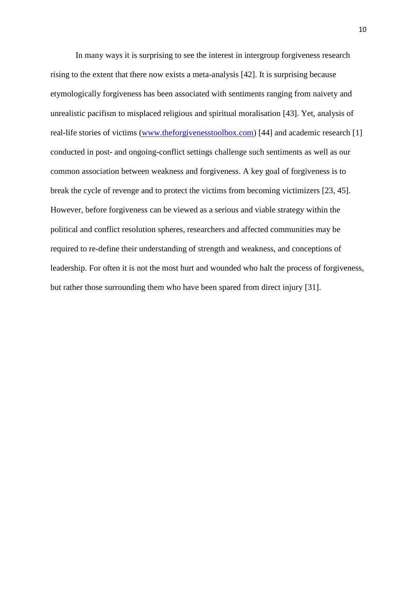In many ways it is surprising to see the interest in intergroup forgiveness research rising to the extent that there now exists a meta-analysis [42]. It is surprising because etymologically forgiveness has been associated with sentiments ranging from naivety and unrealistic pacifism to misplaced religious and spiritual moralisation [43]. Yet, analysis of real-life stories of victims [\(www.theforgivenesstoolbox.com\)](http://www.theforgivenesstoolbox.com/) [44] and academic research [1] conducted in post- and ongoing-conflict settings challenge such sentiments as well as our common association between weakness and forgiveness. A key goal of forgiveness is to break the cycle of revenge and to protect the victims from becoming victimizers [23, 45]. However, before forgiveness can be viewed as a serious and viable strategy within the political and conflict resolution spheres, researchers and affected communities may be required to re-define their understanding of strength and weakness, and conceptions of leadership. For often it is not the most hurt and wounded who halt the process of forgiveness, but rather those surrounding them who have been spared from direct injury [31].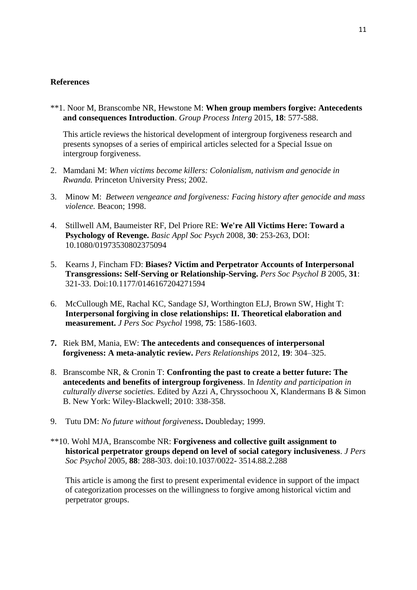### **References**

\*\*1. Noor M, Branscombe NR, Hewstone M: **When group members forgive: Antecedents and consequences Introduction**. *Group Process Interg* 2015, **18**: 577-588.

This article reviews the historical development of intergroup forgiveness research and presents synopses of a series of empirical articles selected for a Special Issue on intergroup forgiveness.

- 2. Mamdani M: *When victims become killers: Colonialism, nativism and genocide in Rwanda.* Princeton University Press; 2002.
- 3. Minow M: *Between vengeance and forgiveness: Facing history after genocide and mass violence.* Beacon; 1998.
- 4. Stillwell AM, Baumeister RF, Del Priore RE: **We're All Victims Here: Toward a Psychology of Revenge.** *Basic Appl Soc Psych* 2008, **30**: 253-263, DOI: 10.1080/01973530802375094
- 5. Kearns J, Fincham FD: **Biases? Victim and Perpetrator Accounts of Interpersonal Transgressions: Self-Serving or Relationship-Serving.** *Pers Soc Psychol B* 2005*,* **31**: 321-33. Doi:10.1177/0146167204271594
- 6. McCullough ME, Rachal KC, Sandage SJ, Worthington ELJ, Brown SW, Hight T: **Interpersonal forgiving in close relationships: II. Theoretical elaboration and measurement.** *J Pers Soc Psychol* 1998*,* **75**: 1586-1603.
- **7.** Riek BM, Mania, EW: **The antecedents and consequences of interpersonal forgiveness: A meta-analytic review.** *Pers Relationships* 2012*,* **19**: 304–325.
- 8. Branscombe NR, & Cronin T: **Confronting the past to create a better future: The antecedents and benefits of intergroup forgiveness**. In *Identity and participation in culturally diverse societies.* Edited by Azzi A, Chryssochoou X, Klandermans B & Simon B. New York: Wiley-Blackwell; 2010: 338-358.
- 9. Tutu DM: *No future without forgiveness***.** Doubleday; 1999.
- \*\*10. Wohl MJA, Branscombe NR: **Forgiveness and collective guilt assignment to historical perpetrator groups depend on level of social category inclusiveness**. *J Pers Soc Psychol* 2005*,* **88**: 288-303. doi:10.1037/0022- 3514.88.2.288

This article is among the first to present experimental evidence in support of the impact of categorization processes on the willingness to forgive among historical victim and perpetrator groups.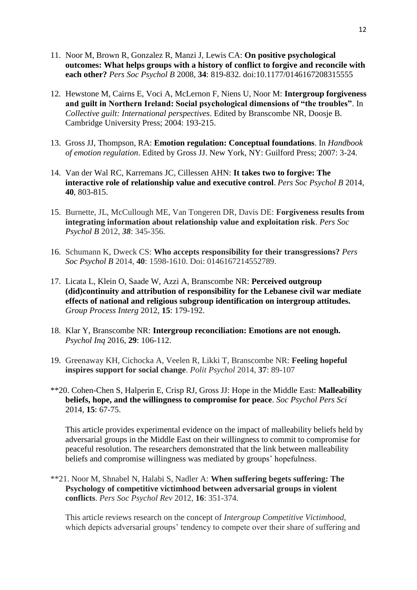- 11. Noor M, Brown R, Gonzalez R, Manzi J, Lewis CA: **On positive psychological outcomes: What helps groups with a history of conflict to forgive and reconcile with each other?** *Pers Soc Psychol B* 2008*,* **34**: 819-832. doi:10.1177/0146167208315555
- 12. Hewstone M, Cairns E, Voci A, McLernon F, Niens U, Noor M: **Intergroup forgiveness and guilt in Northern Ireland: Social psychological dimensions of "the troubles"**. In *Collective guilt: International perspectives*. Edited by Branscombe NR, Doosje B. Cambridge University Press; 2004: 193-215.
- 13. Gross JJ, Thompson, RA: **Emotion regulation: Conceptual foundations**. In *Handbook of emotion regulation*. Edited by Gross JJ. New York, NY: Guilford Press; 2007: 3-24.
- 14. Van der Wal RC, Karremans JC, Cillessen AHN: **It takes two to forgive: The interactive role of relationship value and executive control**. *Pers Soc Psychol B* 2014*,*  **40**, 803-815.
- 15. Burnette, JL, McCullough ME, Van Tongeren DR, Davis DE: **Forgiveness results from integrating information about relationship value and exploitation risk**. *Pers Soc Psychol B* 2012, *38*: 345-356.
- 16. Schumann K, Dweck CS: **Who accepts responsibility for their transgressions?** *Pers Soc Psychol B* 2014, **40**: 1598-1610. Doi: 0146167214552789.
- 17. Licata L, Klein O, Saade W, Azzi A, Branscombe NR: **Perceived outgroup (did)continuity and attribution of responsibility for the Lebanese civil war mediate effects of national and religious subgroup identification on intergroup attitudes.**  *Group Process Interg* 2012, **15**: 179-192.
- 18. Klar Y, Branscombe NR: **Intergroup reconciliation: Emotions are not enough.**  *Psychol Inq* 2016, **29**: 106-112.
- 19. Greenaway KH, Cichocka A, Veelen R, Likki T, Branscombe NR: **Feeling hopeful inspires support for social change**. *Polit Psychol* 2014, **37**: 89-107
- \*\*20. Cohen-Chen S, Halperin E, Crisp RJ, Gross JJ: Hope in the Middle East: **Malleability beliefs, hope, and the willingness to compromise for peace**. *Soc Psychol Pers Sci*  2014*,* **15**: 67-75.

This article provides experimental evidence on the impact of malleability beliefs held by adversarial groups in the Middle East on their willingness to commit to compromise for peaceful resolution. The researchers demonstrated that the link between malleability beliefs and compromise willingness was mediated by groups' hopefulness.

\*\*21. Noor M, Shnabel N, Halabi S, Nadler A: **When suffering begets suffering: The Psychology of competitive victimhood between adversarial groups in violent conflicts**. *Pers Soc Psychol Rev* 2012*,* **16**: 351-374.

This article reviews research on the concept of *Intergroup Competitive Victimhood*, which depicts adversarial groups' tendency to compete over their share of suffering and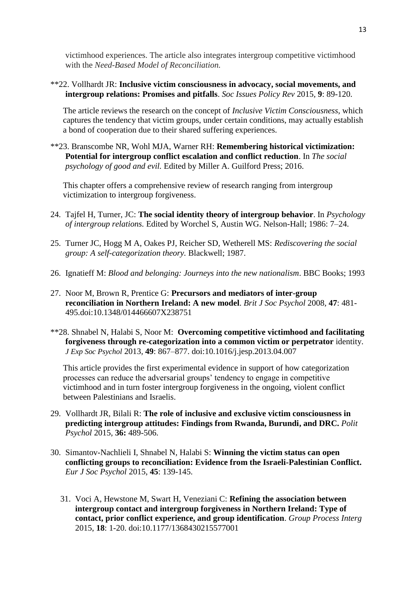victimhood experiences. The article also integrates intergroup competitive victimhood with the *Need-Based Model of Reconciliation.*

\*\*22. Vollhardt JR: **Inclusive victim consciousness in advocacy, social movements, and intergroup relations: Promises and pitfalls**. *Soc Issues Policy Rev* 2015*,* **9**: 89-120.

The article reviews the research on the concept of *Inclusive Victim Consciousness*, which captures the tendency that victim groups, under certain conditions, may actually establish a bond of cooperation due to their shared suffering experiences.

\*\*23. Branscombe NR, Wohl MJA, Warner RH: **Remembering historical victimization: Potential for intergroup conflict escalation and conflict reduction**. In *The social psychology of good and evil.* Edited by Miller A. Guilford Press; 2016.

This chapter offers a comprehensive review of research ranging from intergroup victimization to intergroup forgiveness.

- 24. Tajfel H, Turner, JC: **The social identity theory of intergroup behavior**. In *Psychology of intergroup relations.* Edited by Worchel S, Austin WG. Nelson-Hall; 1986: 7–24.
- 25. Turner JC, Hogg M A, Oakes PJ, Reicher SD, Wetherell MS: *Rediscovering the social group: A self-categorization theory.* Blackwell; 1987.
- 26. Ignatieff M: *Blood and belonging: Journeys into the new nationalism*. BBC Books; 1993
- 27. Noor M, Brown R, Prentice G: **Precursors and mediators of inter-group reconciliation in Northern Ireland: A new model**. *Brit J Soc Psychol* 2008*,* **47**: 481- 495.doi:10.1348/014466607X238751
- \*\*28. Shnabel N, Halabi S, Noor M: **Overcoming competitive victimhood and facilitating forgiveness through re-categorization into a common victim or perpetrator** identity. *J Exp Soc Psychol* 2013*,* **49**: 867–877. doi:10.1016/j.jesp.2013.04.007

This article provides the first experimental evidence in support of how categorization processes can reduce the adversarial groups' tendency to engage in competitive victimhood and in turn foster intergroup forgiveness in the ongoing, violent conflict between Palestinians and Israelis.

- 29. Vollhardt JR, Bilali R: **The role of inclusive and exclusive victim consciousness in predicting intergroup attitudes: Findings from Rwanda, Burundi, and DRC.** *Polit Psychol* 2015*,* **36:** 489-506.
- 30. Simantov-Nachlieli I, Shnabel N, Halabi S: **Winning the victim status can open conflicting groups to reconciliation: Evidence from the Israeli-Palestinian Conflict.** *Eur J Soc Psychol* 2015, **45**: 139-145.
	- 31. Voci A, Hewstone M, Swart H, Veneziani C: **Refining the association between intergroup contact and intergroup forgiveness in Northern Ireland: Type of contact, prior conflict experience, and group identification**. *Group Process Interg* 2015, **18**: 1-20. doi:10.1177/1368430215577001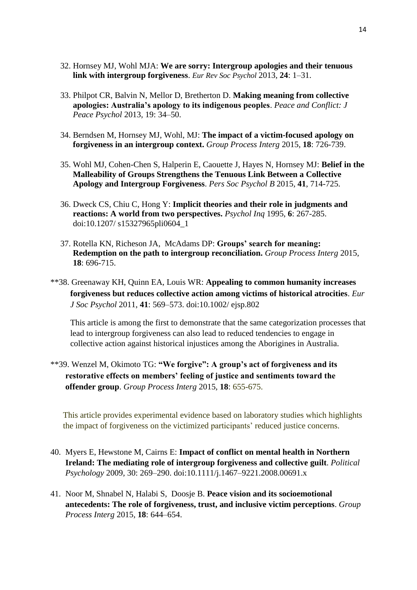- 32. Hornsey MJ, Wohl MJA: **We are sorry: Intergroup apologies and their tenuous link with intergroup forgiveness**. *Eur Rev Soc Psychol* 2013*,* **24**: 1–31.
- 33. Philpot CR, Balvin N, Mellor D, Bretherton D. **Making meaning from collective apologies: Australia's apology to its indigenous peoples**. *Peace and Conflict: J Peace Psychol* 2013*,* 19: 34–50.
- 34. Berndsen M, Hornsey MJ, Wohl, MJ: **The impact of a victim-focused apology on forgiveness in an intergroup context.** *Group Process Interg* 2015*,* **18**: 726-739.
- 35. Wohl MJ, Cohen-Chen S, Halperin E, Caouette J, Hayes N, Hornsey MJ: **Belief in the Malleability of Groups Strengthens the Tenuous Link Between a Collective Apology and Intergroup Forgiveness**. *Pers Soc Psychol B* 2015*,* **41**, 714-725.
- 36. Dweck CS, Chiu C, Hong Y: **Implicit theories and their role in judgments and reactions: A world from two perspectives.** *Psychol Inq* 1995, **6**: 267-285. doi:10.1207/ s15327965pli0604\_1
- 37. Rotella KN, Richeson JA, McAdams DP: **Groups' search for meaning: Redemption on the path to intergroup reconciliation.** *Group Process Interg* 2015*,*  **18**: 696-715.
- \*\*38. Greenaway KH, Quinn EA, Louis WR: **Appealing to common humanity increases forgiveness but reduces collective action among victims of historical atrocities**. *Eur J Soc Psychol* 2011, **41**: 569–573. doi:10.1002/ ejsp.802

This article is among the first to demonstrate that the same categorization processes that lead to intergroup forgiveness can also lead to reduced tendencies to engage in collective action against historical injustices among the Aborigines in Australia.

\*\*39. Wenzel M, Okimoto TG: **"We forgive": A group's act of forgiveness and its restorative effects on members' feeling of justice and sentiments toward the offender group**. *Group Process Interg* 2015*,* **18**: 655-675.

This article provides experimental evidence based on laboratory studies which highlights the impact of forgiveness on the victimized participants' reduced justice concerns.

- 40. Myers E, Hewstone M, Cairns E: **Impact of conflict on mental health in Northern Ireland: The mediating role of intergroup forgiveness and collective guilt**. *Political Psychology* 2009*,* 30: 269–290. doi:10.1111/j.1467–9221.2008.00691.x
- 41. Noor M, Shnabel N, Halabi S, Doosje B. **Peace vision and its socioemotional antecedents: The role of forgiveness, trust, and inclusive victim perceptions**. *Group Process Interg* 2015*,* **18**: 644–654.